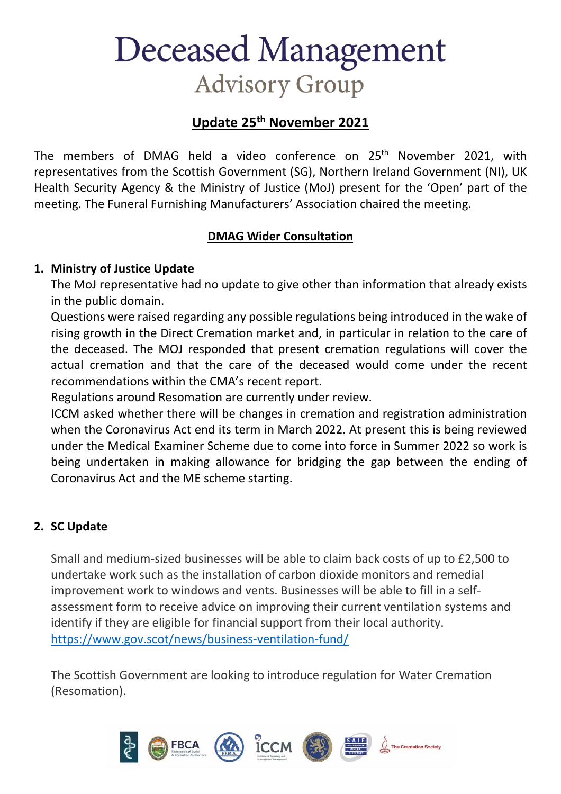# **Deceased Management Advisory Group**

## **Update 25th November 2021**

The members of DMAG held a video conference on 25<sup>th</sup> November 2021, with representatives from the Scottish Government (SG), Northern Ireland Government (NI), UK Health Security Agency & the Ministry of Justice (MoJ) present for the 'Open' part of the meeting. The Funeral Furnishing Manufacturers' Association chaired the meeting.

#### **DMAG Wider Consultation**

#### **1. Ministry of Justice Update**

The MoJ representative had no update to give other than information that already exists in the public domain.

Questions were raised regarding any possible regulations being introduced in the wake of rising growth in the Direct Cremation market and, in particular in relation to the care of the deceased. The MOJ responded that present cremation regulations will cover the actual cremation and that the care of the deceased would come under the recent recommendations within the CMA's recent report.

Regulations around Resomation are currently under review.

ICCM asked whether there will be changes in cremation and registration administration when the Coronavirus Act end its term in March 2022. At present this is being reviewed under the Medical Examiner Scheme due to come into force in Summer 2022 so work is being undertaken in making allowance for bridging the gap between the ending of Coronavirus Act and the ME scheme starting.

### **2. SC Update**

Small and medium-sized businesses will be able to claim back costs of up to £2,500 to undertake work such as the installation of carbon dioxide monitors and remedial improvement work to windows and vents. Businesses will be able to fill in a selfassessment form to receive advice on improving their current ventilation systems and identify if they are eligible for financial support from their local authority. <https://www.gov.scot/news/business-ventilation-fund/>

The Scottish Government are looking to introduce regulation for Water Cremation (Resomation).

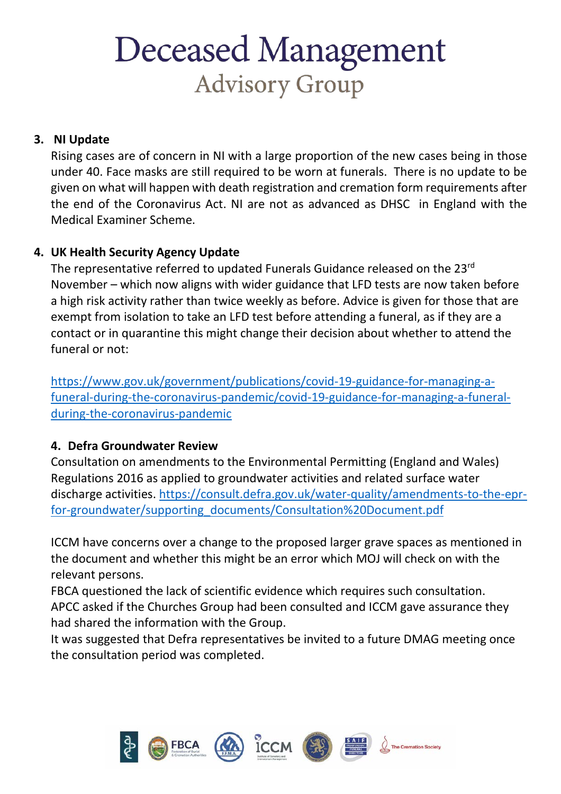# **Deceased Management Advisory Group**

#### **3. NI Update**

Rising cases are of concern in NI with a large proportion of the new cases being in those under 40. Face masks are still required to be worn at funerals. There is no update to be given on what will happen with death registration and cremation form requirements after the end of the Coronavirus Act. NI are not as advanced as DHSC in England with the Medical Examiner Scheme.

#### **4. UK Health Security Agency Update**

The representative referred to updated Funerals Guidance released on the 23<sup>rd</sup> November – which now aligns with wider guidance that LFD tests are now taken before a high risk activity rather than twice weekly as before. Advice is given for those that are exempt from isolation to take an LFD test before attending a funeral, as if they are a contact or in quarantine this might change their decision about whether to attend the funeral or not:

[https://www.gov.uk/government/publications/covid-19-guidance-for-managing-a](https://www.gov.uk/government/publications/covid-19-guidance-for-managing-a-funeral-during-the-coronavirus-pandemic/covid-19-guidance-for-managing-a-funeral-during-the-coronavirus-pandemic)[funeral-during-the-coronavirus-pandemic/covid-19-guidance-for-managing-a-funeral](https://www.gov.uk/government/publications/covid-19-guidance-for-managing-a-funeral-during-the-coronavirus-pandemic/covid-19-guidance-for-managing-a-funeral-during-the-coronavirus-pandemic)[during-the-coronavirus-pandemic](https://www.gov.uk/government/publications/covid-19-guidance-for-managing-a-funeral-during-the-coronavirus-pandemic/covid-19-guidance-for-managing-a-funeral-during-the-coronavirus-pandemic)

#### **4. Defra Groundwater Review**

Consultation on amendments to the Environmental Permitting (England and Wales) Regulations 2016 as applied to groundwater activities and related surface water discharge activities. [https://consult.defra.gov.uk/water-quality/amendments-to-the-epr](https://consult.defra.gov.uk/water-quality/amendments-to-the-epr-for-groundwater/supporting_documents/Consultation%20Document.pdf)[for-groundwater/supporting\\_documents/Consultation%20Document.pdf](https://consult.defra.gov.uk/water-quality/amendments-to-the-epr-for-groundwater/supporting_documents/Consultation%20Document.pdf)

ICCM have concerns over a change to the proposed larger grave spaces as mentioned in the document and whether this might be an error which MOJ will check on with the relevant persons.

FBCA questioned the lack of scientific evidence which requires such consultation. APCC asked if the Churches Group had been consulted and ICCM gave assurance they had shared the information with the Group.

It was suggested that Defra representatives be invited to a future DMAG meeting once the consultation period was completed.